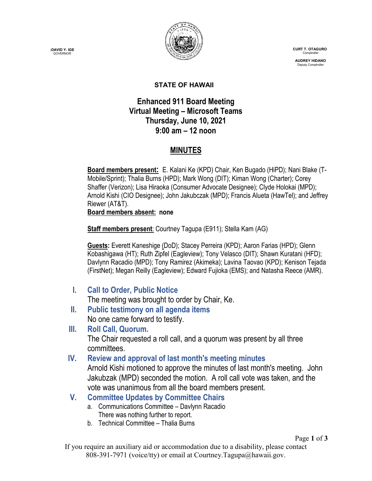**-DAVID Y. IGE GOVERNOR** 



 **CURT T. OTAGURO** Comptrol

 **AUDREY HIDANO** Deputy Comptroll

#### **STATE OF HAWAII**

## **Enhanced 911 Board Meeting Virtual Meeting – Microsoft Teams Thursday, June 10, 2021 9:00 am – 12 noon**

# **MINUTES**

**Board members present:** E. Kalani Ke (KPD) Chair, Ken Bugado (HiPD); Nani Blake (T-Mobile/Sprint); Thalia Burns (HPD); Mark Wong (DIT); Kiman Wong (Charter); Corey Shaffer (Verizon); Lisa Hiraoka (Consumer Advocate Designee); Clyde Holokai (MPD); Arnold Kishi (CIO Designee); John Jakubczak (MPD); Francis Alueta (HawTel); and Jeffrey Riewer (AT&T).

**Board members absent: none**

**Staff members present**: Courtney Tagupa (E911); Stella Kam (AG)

**Guests:** Everett Kaneshige (DoD); Stacey Perreira (KPD); Aaron Farias (HPD); Glenn Kobashigawa (HT); Ruth Zipfel (Eagleview); Tony Velasco (DIT); Shawn Kuratani (HFD); Davlynn Racadio (MPD); Tony Ramirez (Akimeka); Lavina Taovao (KPD); Kenison Tejada (FirstNet); Megan Reilly (Eagleview); Edward Fujioka (EMS); and Natasha Reece (AMR).

**I. Call to Order, Public Notice**

The meeting was brought to order by Chair, Ke.

- **II. Public testimony on all agenda items** No one came forward to testify.
- **III. Roll Call, Quorum.** The Chair requested a roll call, and a quorum was present by all three committees.
- **IV. Review and approval of last month's meeting minutes**

Arnold Kishi motioned to approve the minutes of last month's meeting. John Jakubzak (MPD) seconded the motion. A roll call vote was taken, and the vote was unanimous from all the board members present.

- **V. Committee Updates by Committee Chairs**
	- a. Communications Committee Davlynn Racadio There was nothing further to report.
	- b. Technical Committee Thalia Burns

If you require an auxiliary aid or accommodation due to a disability, please contact 808-391-7971 (voice/tty) or email at Courtney.Tagupa@hawaii.gov.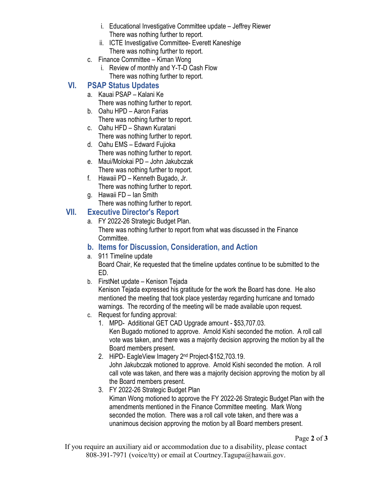- i. Educational Investigative Committee update Jeffrey Riewer There was nothing further to report.
- ii. ICTE Investigative Committee- Everett Kaneshige There was nothing further to report.
- c. Finance Committee Kiman Wong
	- i. Review of monthly and Y-T-D Cash Flow There was nothing further to report.

# **VI. PSAP Status Updates**

- a. Kauai PSAP Kalani Ke There was nothing further to report.
- b. Oahu HPD Aaron Farias There was nothing further to report.
- c. Oahu HFD Shawn Kuratani There was nothing further to report.
- d. Oahu EMS Edward Fujioka There was nothing further to report.
- e. Maui/Molokai PD John Jakubczak There was nothing further to report.
- f. Hawaii PD Kenneth Bugado, Jr. There was nothing further to report.
- g. Hawaii FD Ian Smith There was nothing further to report.

### **VII. Executive Director's Report**

- a. FY 2022-26 Strategic Budget Plan. There was nothing further to report from what was discussed in the Finance Committee.
- **b. Items for Discussion, Consideration, and Action**
- a. 911 Timeline update

Board Chair, Ke requested that the timeline updates continue to be submitted to the ED.

b. FirstNet update – Kenison Tejada

Kenison Tejada expressed his gratitude for the work the Board has done. He also mentioned the meeting that took place yesterday regarding hurricane and tornado warnings. The recording of the meeting will be made available upon request.

- c. Request for funding approval:
	- 1. MPD- Additional GET CAD Upgrade amount \$53,707.03. Ken Bugado motioned to approve. Arnold Kishi seconded the motion. A roll call vote was taken, and there was a majority decision approving the motion by all the Board members present.
	- 2. HiPD- EagleView Imagery 2nd Project-\$152,703.19. John Jakubczak motioned to approve. Arnold Kishi seconded the motion. A roll call vote was taken, and there was a majority decision approving the motion by all the Board members present.
	- 3. FY 2022-26 Strategic Budget Plan Kiman Wong motioned to approve the FY 2022-26 Strategic Budget Plan with the amendments mentioned in the Finance Committee meeting. Mark Wong seconded the motion. There was a roll call vote taken, and there was a unanimous decision approving the motion by all Board members present.

If you require an auxiliary aid or accommodation due to a disability, please contact 808-391-7971 (voice/tty) or email at Courtney.Tagupa@hawaii.gov.